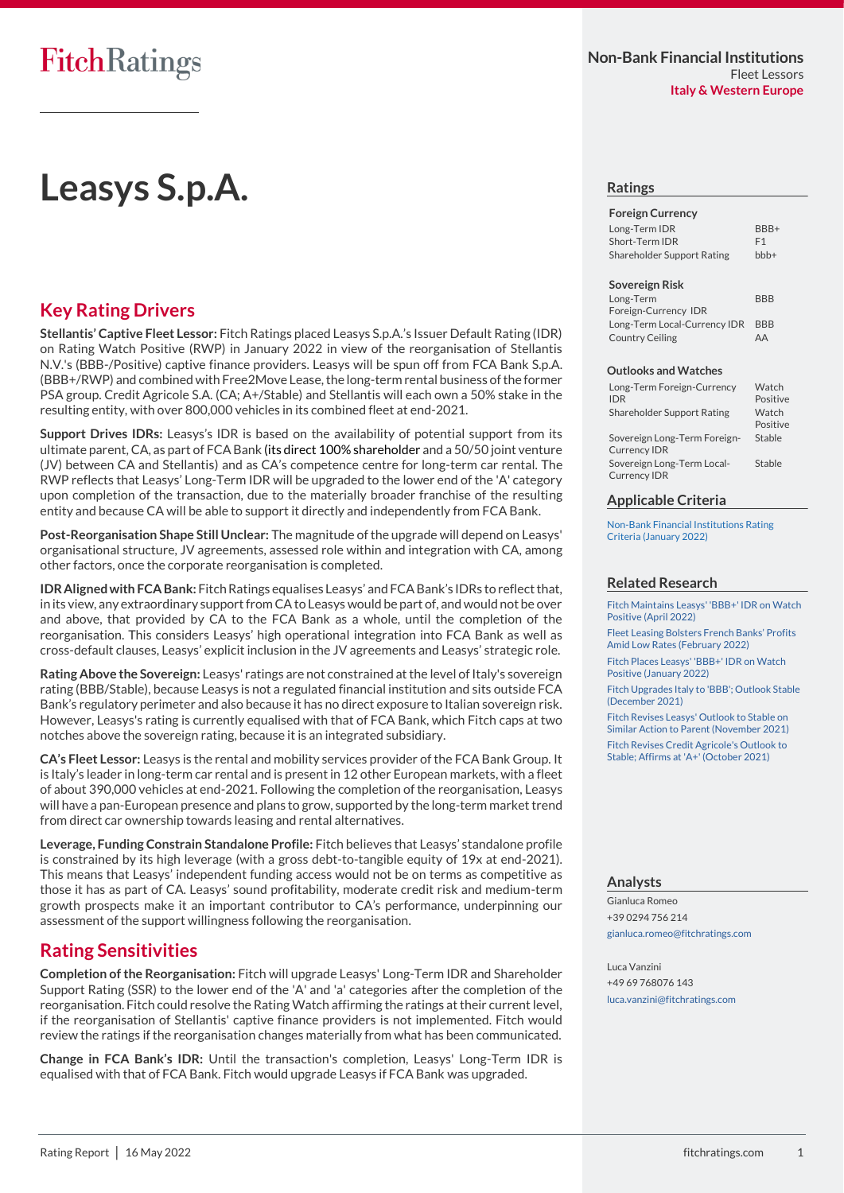# **Key Rating Drivers**

**Stellantis' Captive Fleet Lessor:** Fitch Ratings placed Leasys S.p.A.'s Issuer Default Rating (IDR) on Rating Watch Positive (RWP) in January 2022 in view of the reorganisation of Stellantis N.V.'s (BBB-/Positive) captive finance providers. Leasys will be spun off from FCA Bank S.p.A. (BBB+/RWP) and combined with Free2Move Lease, the long-term rental business of the former PSA group. Credit Agricole S.A. (CA; A+/Stable) and Stellantis will each own a 50% stake in the resulting entity, with over 800,000 vehicles in its combined fleet at end-2021.

**Support Drives IDRs:** Leasys's IDR is based on the availability of potential support from its ultimate parent, CA, as part of FCA Bank (its direct 100% shareholder and a 50/50 joint venture (JV) between CA and Stellantis) and as CA's competence centre for long-term car rental. The RWP reflects that Leasys' Long-Term IDR will be upgraded to the lower end of the 'A' category upon completion of the transaction, due to the materially broader franchise of the resulting entity and because CA will be able to support it directly and independently from FCA Bank.

**Post-Reorganisation Shape Still Unclear:** The magnitude of the upgrade will depend on Leasys' organisational structure, JV agreements, assessed role within and integration with CA, among other factors, once the corporate reorganisation is completed.

**IDR Aligned with FCA Bank:** Fitch Ratings equalises Leasys' and FCA Bank's IDRs to reflect that, in its view, any extraordinary support from CA to Leasys would be part of, and would not be over and above, that provided by CA to the FCA Bank as a whole, until the completion of the reorganisation. This considers Leasys' high operational integration into FCA Bank as well as cross-default clauses, Leasys' explicit inclusion in the JV agreements and Leasys' strategic role.

**Rating Above the Sovereign:** Leasys' ratings are not constrained at the level of Italy's sovereign rating (BBB/Stable), because Leasys is not a regulated financial institution and sits outside FCA Bank's regulatory perimeter and also because it has no direct exposure to Italian sovereign risk. However, Leasys's rating is currently equalised with that of FCA Bank, which Fitch caps at two notches above the sovereign rating, because it is an integrated subsidiary.

**CA's Fleet Lessor:** Leasys is the rental and mobility services provider of the FCA Bank Group. It is Italy's leader in long-term car rental and is present in 12 other European markets, with a fleet of about 390,000 vehicles at end-2021. Following the completion of the reorganisation, Leasys will have a pan-European presence and plans to grow, supported by the long-term market trend from direct car ownership towards leasing and rental alternatives.

**Leverage, Funding Constrain Standalone Profile:** Fitch believes that Leasys' standalone profile is constrained by its high leverage (with a gross debt-to-tangible equity of 19x at end-2021). This means that Leasys' independent funding access would not be on terms as competitive as those it has as part of CA. Leasys' sound profitability, moderate credit risk and medium-term growth prospects make it an important contributor to CA's performance, underpinning our assessment of the support willingness following the reorganisation.

# **Rating Sensitivities**

**Completion of the Reorganisation:** Fitch will upgrade Leasys' Long-Term IDR and Shareholder Support Rating (SSR) to the lower end of the 'A' and 'a' categories after the completion of the reorganisation. Fitch could resolve the Rating Watch affirming the ratings at their current level, if the reorganisation of Stellantis' captive finance providers is not implemented. Fitch would review the ratings if the reorganisation changes materially from what has been communicated.

**Change in FCA Bank's IDR:** Until the transaction's completion, Leasys' Long-Term IDR is equalised with that of FCA Bank. Fitch would upgrade Leasys if FCA Bank was upgraded.

#### **Ratings**

| <b>Foreign Currency</b>    |                |
|----------------------------|----------------|
| Long-Term IDR              | BBB+           |
| Short-Term IDR             | F <sub>1</sub> |
| Shareholder Support Rating | $bbb +$        |

#### **Sovereign Risk**

| Long-Term                        | <b>BBB</b> |
|----------------------------------|------------|
| Foreign-Currency IDR             |            |
| Long-Term Local-Currency IDR BBB |            |
| Country Ceiling                  | AA         |

#### **Outlooks and Watches**

| Long-Term Foreign-Currency<br><b>IDR</b>            | Watch<br>Positive |
|-----------------------------------------------------|-------------------|
| Shareholder Support Rating                          | Watch<br>Positive |
| Sovereign Long-Term Foreign-<br><b>Currency IDR</b> | Stable            |
| Sovereign Long-Term Local-<br><b>Currency IDR</b>   | Stable            |

#### **Applicable Criteria**

[Non-Bank Financial Institutions Rating](https://www.fitchratings.com/site/re/10187597)  [Criteria \(January 2022\)](https://www.fitchratings.com/site/re/10187597)

#### **Related Research**

[Fitch Maintains Leasys' 'BBB+' IDR on Watch](https://www.fitchratings.com/site/pr/10200424)  [Positive \(April 2022\)](https://www.fitchratings.com/site/pr/10200424)

[Fleet Leasing Bolsters French Banks' Profits](https://www.fitchratings.com/site/pr/10192375)  [Amid Low Rates \(February 2022\)](https://www.fitchratings.com/site/pr/10192375)

[Fitch Places Leasys' 'BBB+' IDR on Watch](https://www.fitchratings.com/site/pr/10190462)  [Positive \(January 2022\)](https://www.fitchratings.com/site/pr/10190462)

[Fitch Upgrades Italy to 'BBB'; Outlook Stable](https://www.fitchratings.com/site/pr/10186628)  [\(December 2021\)](https://www.fitchratings.com/site/pr/10186628)

Fitch [Revises Leasys' Outlook to Stable on](https://www.fitchratings.com/site/pr/10182851)  [Similar Action to Parent \(November 2021\)](https://www.fitchratings.com/site/pr/10182851) [Fitch Revises Credit Agricole's Outlook to](https://www.fitchratings.com/site/pr/10182380)  [Stable; Affirms at 'A+' \(October 2021\)](https://www.fitchratings.com/site/pr/10182380)

#### **Analysts**

Gianluca Romeo +39 0294 756 214 [gianluca.romeo@fitchratings.com](mailto:gianluca.romeo@fitchratings.com)

Luca Vanzini +49 69 768076 143 [luca.vanzini@fitchratings.com](mailto:luca.vanzini@fitchratings.com)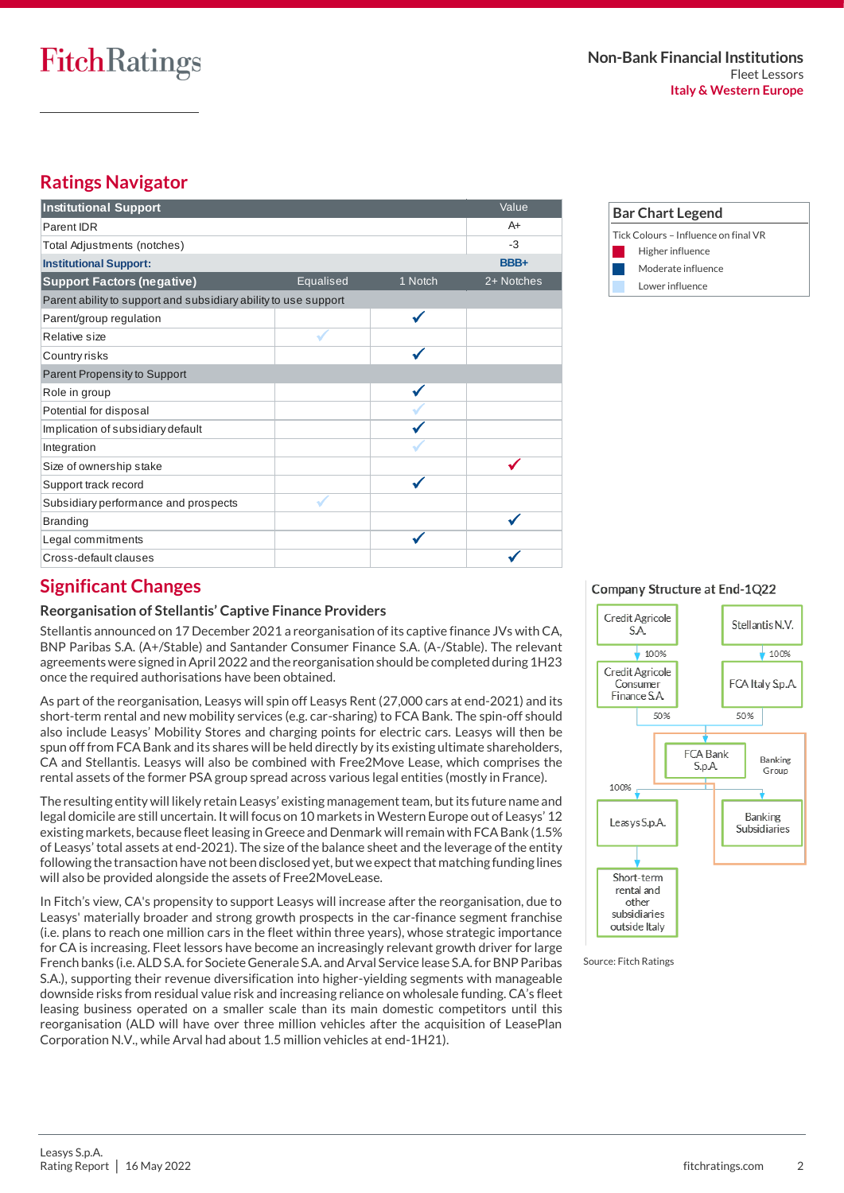# **Ratings Navigator**

| <b>Institutional Support</b>                                    |           |         | Value      |
|-----------------------------------------------------------------|-----------|---------|------------|
| Parent IDR                                                      |           |         | $A+$       |
| Total Adjustments (notches)                                     |           |         | $-3$       |
| <b>Institutional Support:</b>                                   |           |         | BBB+       |
| <b>Support Factors (negative)</b>                               | Equalised | 1 Notch | 2+ Notches |
| Parent ability to support and subsidiary ability to use support |           |         |            |
| Parent/group regulation                                         |           |         |            |
| Relative size                                                   |           |         |            |
| Country risks                                                   |           |         |            |
| Parent Propensity to Support                                    |           |         |            |
| Role in group                                                   |           |         |            |
| Potential for disposal                                          |           |         |            |
| Implication of subsidiary default                               |           |         |            |
| Integration                                                     |           |         |            |
| Size of ownership stake                                         |           |         |            |
| Support track record                                            |           |         |            |
| Subsidiary performance and prospects                            |           |         |            |
| <b>Branding</b>                                                 |           |         |            |
| Legal commitments                                               |           |         |            |
| Cross-default clauses                                           |           |         |            |



# **Significant Changes**

#### **Reorganisation of Stellantis' Captive Finance Providers**

Stellantis announced on 17 December 2021 a reorganisation of its captive finance JVs with CA, BNP Paribas S.A. (A+/Stable) and Santander Consumer Finance S.A. (A-/Stable). The relevant agreements were signed in April 2022 and the reorganisation should be completed during 1H23 once the required authorisations have been obtained.

As part of the reorganisation, Leasys will spin off Leasys Rent (27,000 cars at end-2021) and its short-term rental and new mobility services (e.g. car-sharing) to FCA Bank. The spin-off should also include Leasys' Mobility Stores and charging points for electric cars. Leasys will then be spun off from FCA Bank and its shares will be held directly by its existing ultimate shareholders, CA and Stellantis. Leasys will also be combined with Free2Move Lease, which comprises the rental assets of the former PSA group spread across various legal entities (mostly in France).

The resulting entity will likely retain Leasys' existing management team, but its future name and legal domicile are still uncertain. It will focus on 10 markets in Western Europe out of Leasys' 12 existing markets, because fleet leasing in Greece and Denmark will remain with FCA Bank (1.5% of Leasys' total assets at end-2021). The size of the balance sheet and the leverage of the entity following the transaction have not been disclosed yet, but we expect that matching funding lines will also be provided alongside the assets of Free2MoveLease.

In Fitch's view, CA's propensity to support Leasys will increase after the reorganisation, due to Leasys' materially broader and strong growth prospects in the car-finance segment franchise (i.e. plans to reach one million cars in the fleet within three years), whose strategic importance for CA is increasing. Fleet lessors have become an increasingly relevant growth driver for large French banks (i.e. ALD S.A. for Societe Generale S.A. and Arval Service lease S.A. for BNP Paribas S.A.), supporting their revenue diversification into higher-yielding segments with manageable downside risks from residual value risk and increasing reliance on wholesale funding. CA's fleet leasing business operated on a smaller scale than its main domestic competitors until this reorganisation (ALD will have over three million vehicles after the acquisition of LeasePlan Corporation N.V., while Arval had about 1.5 million vehicles at end-1H21).

#### Company Structure at End-1Q22



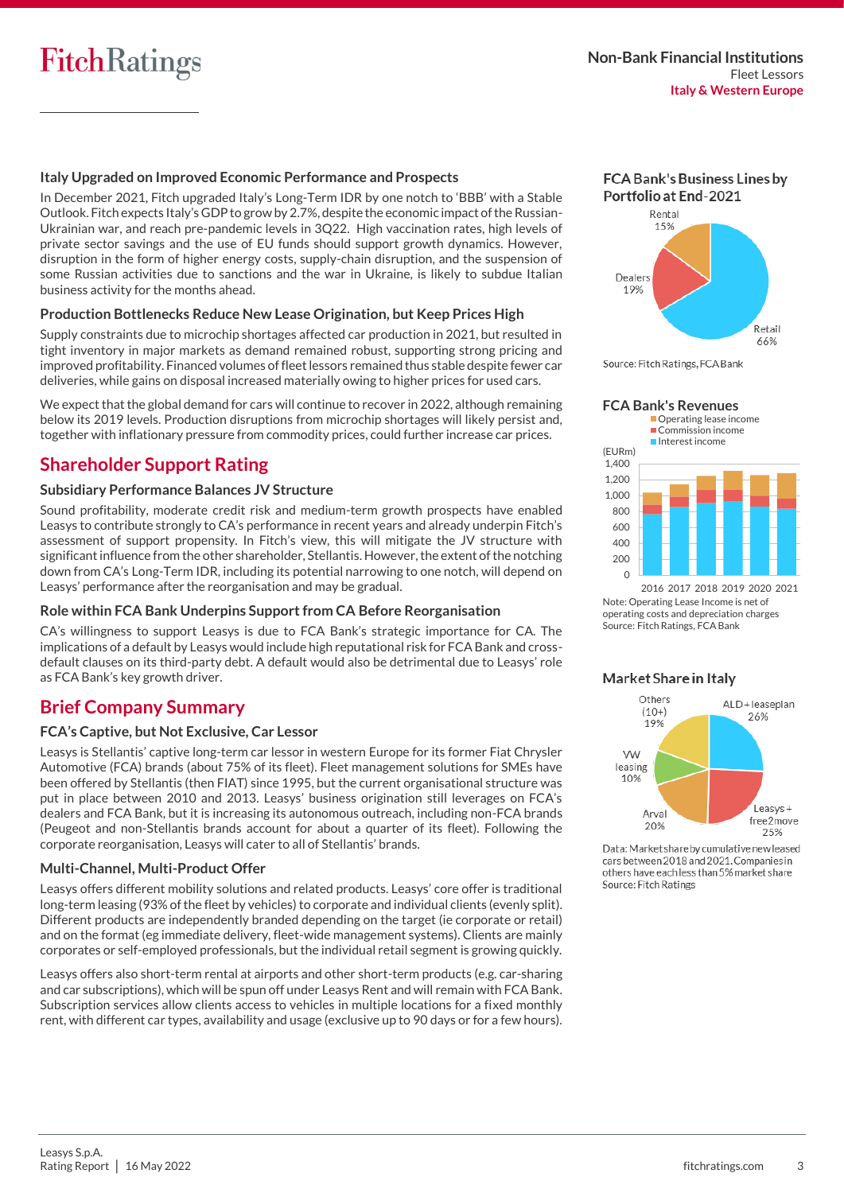#### **Italy Upgraded on Improved Economic Performance and Prospects**

In December 2021, Fitch upgraded Italy's Long-Term IDR by one notch to 'BBB' with a Stable Outlook. Fitch expects Italy's GDP to grow by 2.7%, despite the economic impact of the Russian-Ukrainian war, and reach pre-pandemic levels in 3Q22. High vaccination rates, high levels of private sector savings and the use of EU funds should support growth dynamics. However, disruption in the form of higher energy costs, supply-chain disruption, and the suspension of some Russian activities due to sanctions and the war in Ukraine, is likely to subdue Italian business activity for the months ahead.

#### **Production Bottlenecks Reduce New Lease Origination, but Keep Prices High**

Supply constraints due to microchip shortages affected car production in 2021, but resulted in tight inventory in major markets as demand remained robust, supporting strong pricing and improved profitability. Financed volumes of fleet lessors remained thus stable despite fewer car deliveries, while gains on disposal increased materially owing to higher prices for used cars.

We expect that the global demand for cars will continue to recover in 2022, although remaining below its 2019 levels. Production disruptions from microchip shortages will likely persist and, together with inflationary pressure from commodity prices, could further increase car prices.

# **Shareholder Support Rating**

#### **Subsidiary Performance Balances JV Structure**

Sound profitability, moderate credit risk and medium-term growth prospects have enabled Leasys to contribute strongly to CA's performance in recent years and already underpin Fitch's assessment of support propensity. In Fitch's view, this will mitigate the JV structure with significant influence from the other shareholder, Stellantis. However, the extent of the notching down from CA's Long-Term IDR, including its potential narrowing to one notch, will depend on Leasys' performance after the reorganisation and may be gradual.

#### **Role within FCA Bank Underpins Support from CA Before Reorganisation**

CA's willingness to support Leasys is due to FCA Bank's strategic importance for CA. The implications of a default by Leasys would include high reputational risk for FCA Bank and crossdefault clauses on its third-party debt. A default would also be detrimental due to Leasys' role as FCA Bank's key growth driver.

### **Brief Company Summary**

#### **FCA's Captive, but Not Exclusive, Car Lessor**

Leasys is Stellantis' captive long-term car lessor in western Europe for its former Fiat Chrysler Automotive (FCA) brands (about 75% of its fleet). Fleet management solutions for SMEs have been offered by Stellantis (then FIAT) since 1995, but the current organisational structure was put in place between 2010 and 2013. Leasys' business origination still leverages on FCA's dealers and FCA Bank, but it is increasing its autonomous outreach, including non-FCA brands (Peugeot and non-Stellantis brands account for about a quarter of its fleet). Following the corporate reorganisation, Leasys will cater to all of Stellantis' brands.

#### **Multi-Channel, Multi-Product Offer**

Leasys offers different mobility solutions and related products. Leasys' core offer is traditional long-term leasing (93% of the fleet by vehicles) to corporate and individual clients (evenly split). Different products are independently branded depending on the target (ie corporate or retail) and on the format (eg immediate delivery, fleet-wide management systems). Clients are mainly corporates or self-employed professionals, but the individual retail segment is growing quickly.

Leasys offers also short-term rental at airports and other short-term products (e.g. car-sharing and car subscriptions), which will be spun off under Leasys Rent and will remain with FCA Bank. Subscription services allow clients access to vehicles in multiple locations for a fixed monthly rent, with different car types, availability and usage (exclusive up to 90 days or for a few hours).













Note: Operating Lease Income is net of operating costs and depreciation charges Source: Fitch Ratings, FCA Bank

#### Market Share in Italy



Data: Market share by cumulative new leased cars between 2018 and 2021. Companies in others have each less than 5% market share Source: Fitch Ratings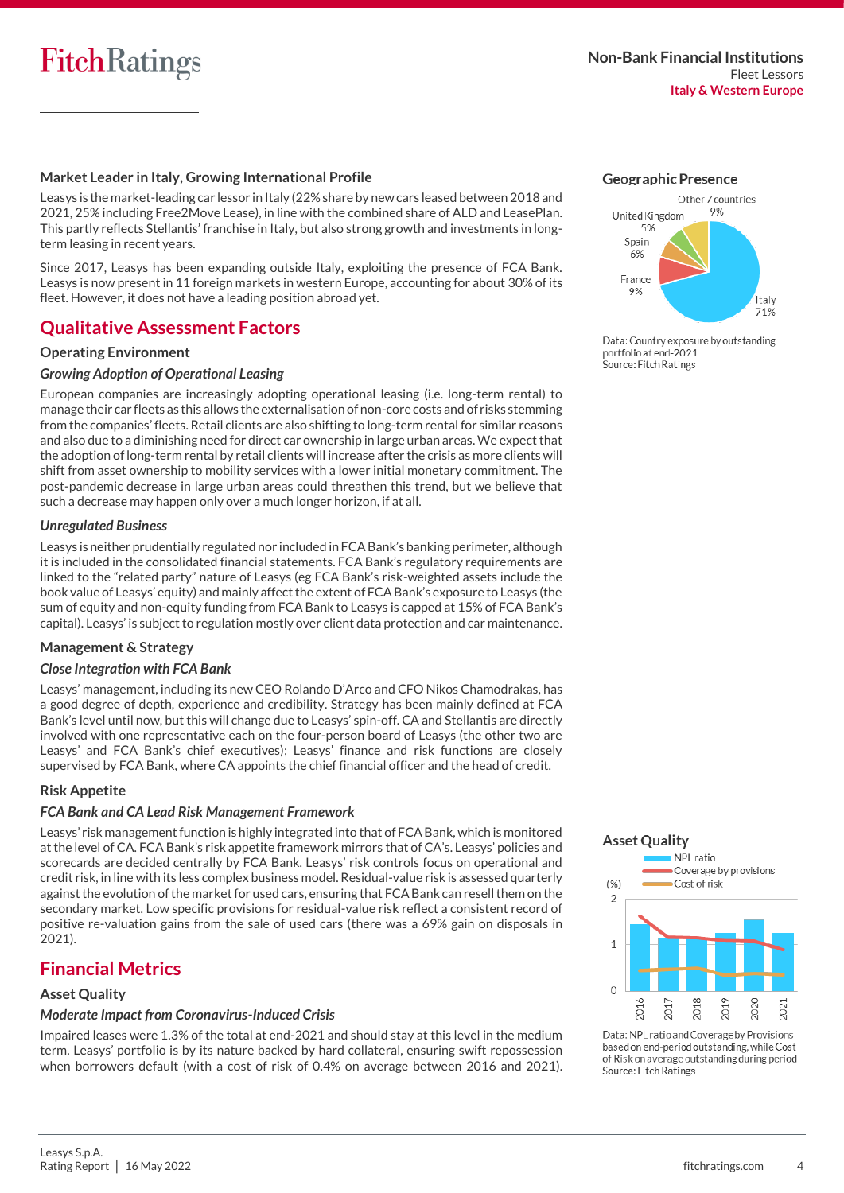#### **Market Leader in Italy, Growing International Profile**

Leasys is the market-leading car lessor in Italy (22% share by new cars leased between 2018 and 2021, 25% including Free2Move Lease), in line with the combined share of ALD and LeasePlan. This partly reflects Stellantis' franchise in Italy, but also strong growth and investments in longterm leasing in recent years.

Since 2017, Leasys has been expanding outside Italy, exploiting the presence of FCA Bank. Leasys is now present in 11 foreign markets in western Europe, accounting for about 30% of its fleet. However, it does not have a leading position abroad yet.

# **Qualitative Assessment Factors**

#### **Operating Environment**

#### *Growing Adoption of Operational Leasing*

European companies are increasingly adopting operational leasing (i.e. long-term rental) to manage their car fleets as this allows the externalisation of non-core costs and of risks stemming from the companies' fleets. Retail clients are also shifting to long-term rental for similar reasons and also due to a diminishing need for direct car ownership in large urban areas. We expect that the adoption of long-term rental by retail clients will increase after the crisis as more clients will shift from asset ownership to mobility services with a lower initial monetary commitment. The post-pandemic decrease in large urban areas could threathen this trend, but we believe that such a decrease may happen only over a much longer horizon, if at all.

#### *Unregulated Business*

Leasys is neither prudentially regulated nor included in FCA Bank's banking perimeter, although it is included in the consolidated financial statements. FCA Bank's regulatory requirements are linked to the "related party" nature of Leasys (eg FCA Bank's risk-weighted assets include the book value of Leasys' equity) and mainly affect the extent of FCA Bank's exposure to Leasys (the sum of equity and non-equity funding from FCA Bank to Leasys is capped at 15% of FCA Bank's capital). Leasys' is subject to regulation mostly over client data protection and car maintenance.

#### **Management & Strategy**

#### *Close Integration with FCA Bank*

Leasys' management, including its new CEO Rolando D'Arco and CFO Nikos Chamodrakas, has a good degree of depth, experience and credibility. Strategy has been mainly defined at FCA Bank's level until now, but this will change due to Leasys' spin-off. CA and Stellantis are directly involved with one representative each on the four-person board of Leasys (the other two are Leasys' and FCA Bank's chief executives); Leasys' finance and risk functions are closely supervised by FCA Bank, where CA appoints the chief financial officer and the head of credit.

#### **Risk Appetite**

#### *FCA Bank and CA Lead Risk Management Framework*

Leasys' risk management function is highly integrated into that of FCA Bank, which is monitored at the level of CA. FCA Bank's risk appetite framework mirrors that of CA's. Leasys' policies and scorecards are decided centrally by FCA Bank. Leasys' risk controls focus on operational and credit risk, in line with its less complex business model. Residual-value risk is assessed quarterly against the evolution of the market for used cars, ensuring that FCA Bank can resell them on the secondary market. Low specific provisions for residual-value risk reflect a consistent record of positive re-valuation gains from the sale of used cars (there was a 69% gain on disposals in 2021).

# **Financial Metrics**

#### **Asset Quality**

### *Moderate Impact from Coronavirus-Induced Crisis*

Impaired leases were 1.3% of the total at end-2021 and should stay at this level in the medium term. Leasys' portfolio is by its nature backed by hard collateral, ensuring swift repossession when borrowers default (with a cost of risk of 0.4% on average between 2016 and 2021).





Data: Country exposure by outstanding portfolio at end-2021 Source: Fitch Ratings



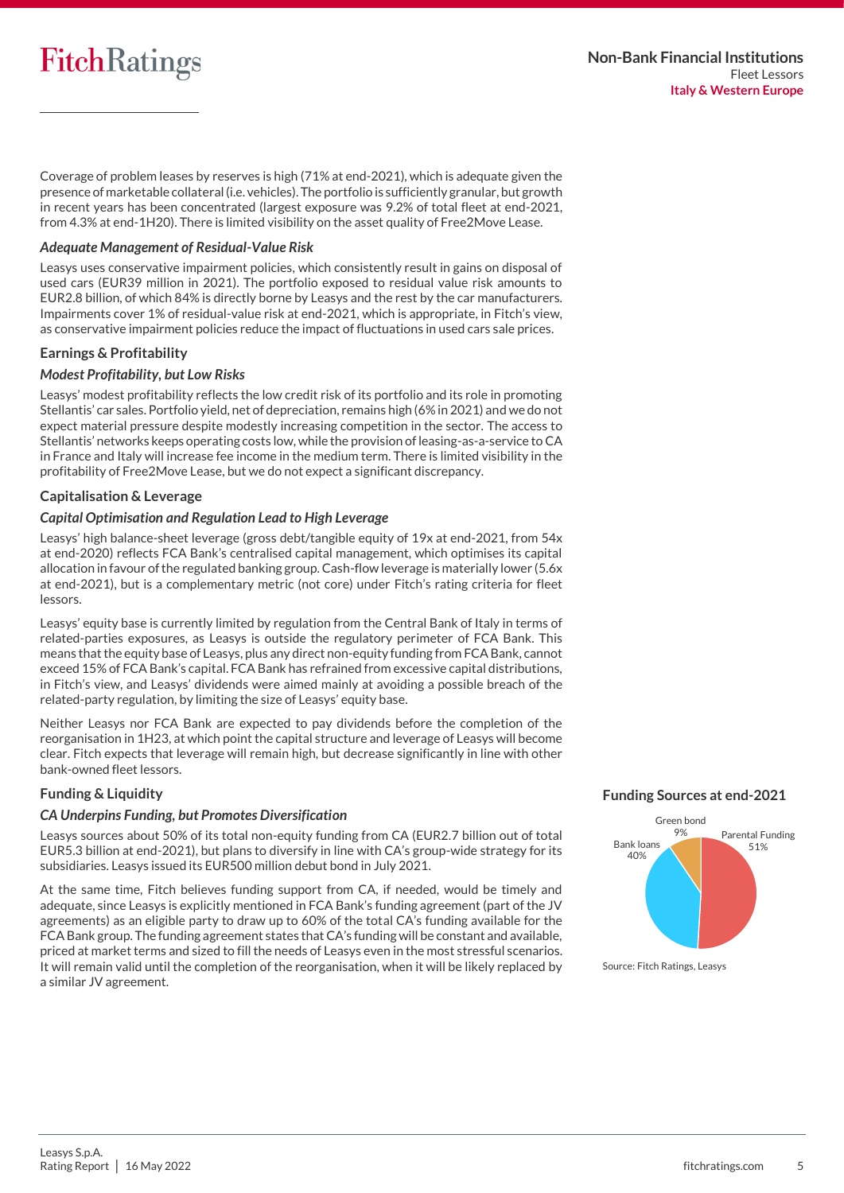Coverage of problem leases by reserves is high (71% at end-2021), which is adequate given the presence of marketable collateral (i.e. vehicles). The portfolio is sufficiently granular, but growth in recent years has been concentrated (largest exposure was 9.2% of total fleet at end-2021, from 4.3% at end-1H20). There is limited visibility on the asset quality of Free2Move Lease.

#### *Adequate Management of Residual-Value Risk*

Leasys uses conservative impairment policies, which consistently result in gains on disposal of used cars (EUR39 million in 2021). The portfolio exposed to residual value risk amounts to EUR2.8 billion, of which 84% is directly borne by Leasys and the rest by the car manufacturers. Impairments cover 1% of residual-value risk at end-2021, which is appropriate, in Fitch's view, as conservative impairment policies reduce the impact of fluctuations in used cars sale prices.

#### **Earnings & Profitability**

#### *Modest Profitability, but Low Risks*

Leasys' modest profitability reflects the low credit risk of its portfolio and its role in promoting Stellantis' car sales. Portfolio yield, net of depreciation, remains high (6% in 2021) and we do not expect material pressure despite modestly increasing competition in the sector. The access to Stellantis' networks keeps operating costs low, while the provision of leasing-as-a-service to CA in France and Italy will increase fee income in the medium term. There is limited visibility in the profitability of Free2Move Lease, but we do not expect a significant discrepancy.

#### **Capitalisation & Leverage**

#### *Capital Optimisation and Regulation Lead to High Leverage*

Leasys' high balance-sheet leverage (gross debt/tangible equity of 19x at end-2021, from 54x at end-2020) reflects FCA Bank's centralised capital management, which optimises its capital allocation in favour of the regulated banking group. Cash-flow leverage is materially lower (5.6x at end-2021), but is a complementary metric (not core) under Fitch's rating criteria for fleet lessors.

Leasys' equity base is currently limited by regulation from the Central Bank of Italy in terms of related-parties exposures, as Leasys is outside the regulatory perimeter of FCA Bank. This means that the equity base of Leasys, plus any direct non-equity funding from FCA Bank, cannot exceed 15% of FCA Bank's capital. FCA Bank has refrained from excessive capital distributions, in Fitch's view, and Leasys' dividends were aimed mainly at avoiding a possible breach of the related-party regulation, by limiting the size of Leasys' equity base.

Neither Leasys nor FCA Bank are expected to pay dividends before the completion of the reorganisation in 1H23, at which point the capital structure and leverage of Leasys will become clear. Fitch expects that leverage will remain high, but decrease significantly in line with other bank-owned fleet lessors.

#### **Funding & Liquidity**

#### *CA Underpins Funding, but Promotes Diversification*

Leasys sources about 50% of its total non-equity funding from CA (EUR2.7 billion out of total EUR5.3 billion at end-2021), but plans to diversify in line with CA's group-wide strategy for its subsidiaries. Leasys issued its EUR500 million debut bond in July 2021.

At the same time, Fitch believes funding support from CA, if needed, would be timely and adequate, since Leasys is explicitly mentioned in FCA Bank's funding agreement (part of the JV agreements) as an eligible party to draw up to 60% of the total CA's funding available for the FCA Bank group. The funding agreement states that CA's funding will be constant and available, priced at market terms and sized to fill the needs of Leasys even in the most stressful scenarios. It will remain valid until the completion of the reorganisation, when it will be likely replaced by a similar JV agreement.

#### **Funding Sources at end-2021**

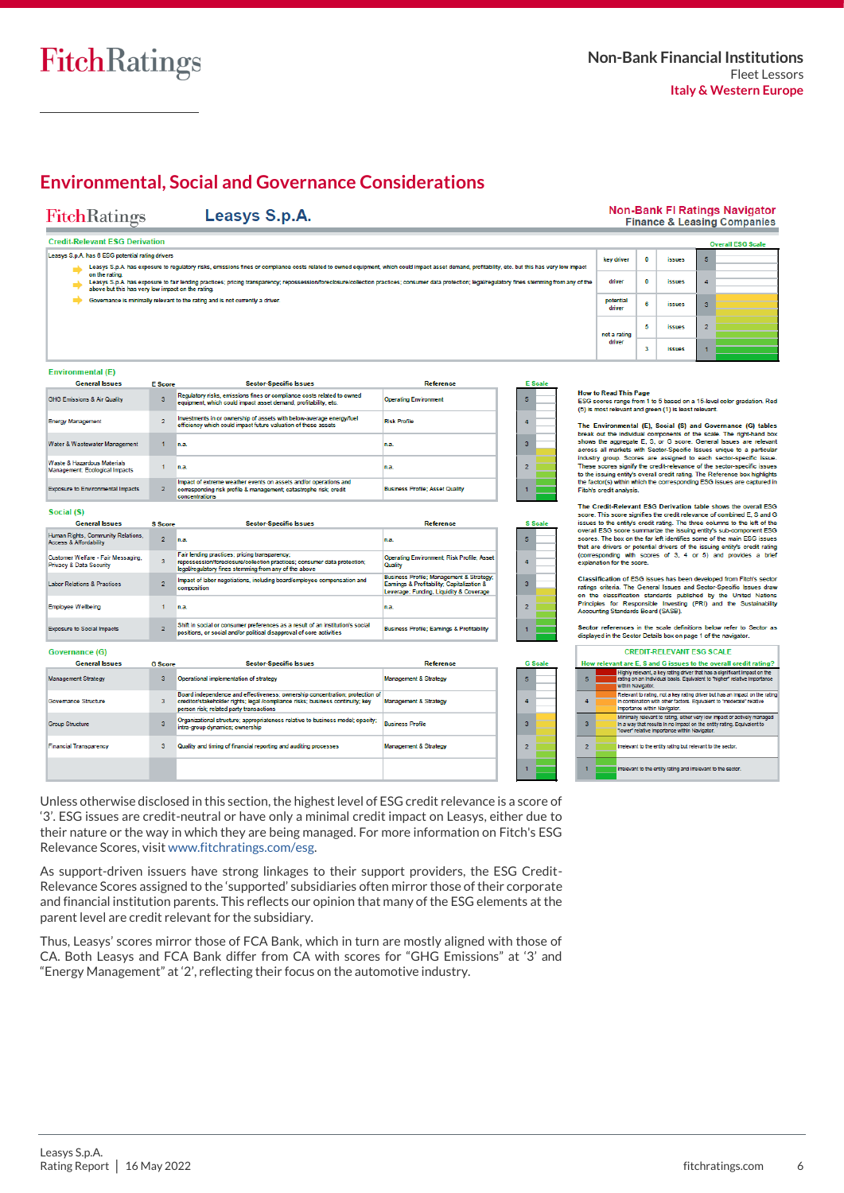

# **Environmental, Social and Governance Considerations**

Leasys S.p.A.

### **FitchRatings**

#### **Non-Bank FI Ratings Navigator Finance & Leasing Companies**

#### **Credit-Relevant ESG Derivation** Leasys S.p.A. has 6 ESG potential rating drivers

- - Leasys S.p.A. has exposure to regulatory risks, emissions fines or compliance costs related to owned equipment, which could impact asset demand, profitability, etc. but this has very low impact<br>Leasys S.p.A. has exposure t
	-
	- Governance is minimally relevant to the rating and is not currently a driver

|   |                     |   |               |                | <b>Overall ESG Scale</b> |
|---|---------------------|---|---------------|----------------|--------------------------|
|   | key driver          | 0 | <i>issues</i> | 5              |                          |
| ż | driver              | 0 | <i>issues</i> | 4              |                          |
|   | potential<br>driver | 6 | issues        | 3              |                          |
|   | not a rating        | 5 | <i>issues</i> | $\overline{2}$ |                          |
|   | driver              | 3 | <b>issues</b> |                |                          |

#### **Environmental (F)**

 $\overline{\phantom{a}}$ 

Ŀ  $\overline{\phantom{a}}$  $\frac{v}{\Lambda}$ **.** 

| <b>General Issues</b>                                                    | <b>F</b> Score | <b>Sector-Specific Issues</b>                                                                                                                           | Reference                              |  |
|--------------------------------------------------------------------------|----------------|---------------------------------------------------------------------------------------------------------------------------------------------------------|----------------------------------------|--|
| <b>HG Emissions &amp; Air Quality</b>                                    |                | Regulatory risks, emissions fines or compliance costs related to owned<br>equipment, which could impact asset demand, profitability, etc.               | <b>Operating Environment</b>           |  |
| nergy Management                                                         |                | Investments in or ownership of assets with below-average energy/fuel<br>efficiency which could impact future valuation of these assets                  | <b>Risk Profile</b>                    |  |
| <b>Jater &amp; Wastewater Management</b>                                 |                | n.a.                                                                                                                                                    | in a.                                  |  |
| <b>Jaste &amp; Hazardous Materials</b><br>lanagement: Ecological Impacts |                | n.a.                                                                                                                                                    | in.a.                                  |  |
| xposure to Environmental Impacts                                         | $\overline{2}$ | Impact of extreme weather events on assets and/or operations and<br>corresponding risk profile & management; catastrophe risk; credit<br>concentrations | <b>Business Profile: Asset Quality</b> |  |

#### Social (S)

| <b>General Issues</b>                                                    | <b>S</b> Score          | <b>Sector-Specific Issues</b>                                                                                                                                                      | <b>Reference</b>                                                                                                                  |  |
|--------------------------------------------------------------------------|-------------------------|------------------------------------------------------------------------------------------------------------------------------------------------------------------------------------|-----------------------------------------------------------------------------------------------------------------------------------|--|
| Human Rights, Community Relations.<br>Access & Affordability             | $\overline{2}$          | n.a.                                                                                                                                                                               | in al                                                                                                                             |  |
| Customer Welfare - Fair Messaging,<br><b>Privacy &amp; Data Security</b> | $\overline{\mathbf{3}}$ | Fair lending practices; pricing transparency;<br>repossession/foreclosure/collection practices; consumer data protection;<br>legal/regulatory fines stemming from any of the above | Operating Environment; Risk Profile; Asset<br><b>Quality</b>                                                                      |  |
| Labor Relations & Practices                                              | $\sim$                  | Impact of labor negotiations, including board/employee compensation and<br>composition                                                                                             | Business Profile; Management & Strategy;<br>Earnings & Profitability; Capitalization &<br>Leverage: Funding, Liquidity & Coverage |  |
| Employee Wellbeing                                                       |                         | n.a.                                                                                                                                                                               | in al                                                                                                                             |  |
| <b>Exposure to Social Impacts</b>                                        | $\sim$                  | Shift in social or consumer preferences as a result of an institution's social<br>positions, or social and/or political disapproval of core activities                             | <b>Business Profile: Earnings &amp; Profitability</b>                                                                             |  |

| Governance (G)                |                         |                                                                                                                                                                                                           |                                  |                |
|-------------------------------|-------------------------|-----------------------------------------------------------------------------------------------------------------------------------------------------------------------------------------------------------|----------------------------------|----------------|
| <b>General Issues</b>         | <b>G</b> Score          | <b>Sector-Specific Issues</b>                                                                                                                                                                             | <b>Reference</b>                 | G              |
| <b>Management Strategy</b>    | 3                       | Operational implementation of strategy                                                                                                                                                                    | <b>Management &amp; Strategy</b> | 5              |
| Governance Structure          | $\overline{\mathbf{3}}$ | Board independence and effectiveness: ownership concentration: protection of<br>creditor/stakeholder rights; legal /compliance risks; business continuity; key<br>person risk: related party transactions | Management & Strategy            |                |
| Group Structure               | 3                       | Organizational structure; appropriateness relative to business model; opacity;<br>intra-group dynamics; ownership                                                                                         | <b>Business Profile</b>          | 3              |
| <b>Financial Transparency</b> | 3                       | Quality and timing of financial reporting and auditing processes                                                                                                                                          | <b>Management &amp; Strategy</b> | $\overline{2}$ |
|                               |                         |                                                                                                                                                                                                           |                                  |                |

Unless otherwise disclosed in this section, the highest level of ESG credit relevance is a score of '3'. ESG issues are credit-neutral or have only a minimal credit impact on Leasys, either due to their nature or the way in which they are being managed. For more information on Fitch's ESG Relevance Scores, visit [www.fitchratings.com/esg.](https://www.fitchratings.com/esg) 

As support-driven issuers have strong linkages to their support providers, the ESG Credit-Relevance Scores assigned to the 'supported' subsidiaries often mirror those of their corporate and financial institution parents. This reflects our opinion that many of the ESG elements at the parent level are credit relevant for the subsidiary.

Thus, Leasys' scores mirror those of FCA Bank, which in turn are mostly aligned with those of CA. Both Leasys and FCA Bank differ from CA with scores for "GHG Emissions" at '3' and "Energy Management" at '2', reflecting their focus on the automotive industry.

How to Read This Page<br>ESG scores range from 1 to 5 based on a 15-level color gradation. Red<br>(5) is most relevant and green (1) is least relevant.

The Environmental (E), Social (S) and Governance (G) tables<br>break out the individual components of the scale. The right-hand box<br>shows the aggregate E, S, or G soore. General issues are relevant<br>across all markets with Sec

The Credit-Relevant ESG Derivation table shows the or From France State International Property and Society Press and Gibsues to the left of the entity's credit rating. The three columns to the left of the overal ESG overal ESG scores summarize the issuing entity's sub-compone that are drivers or potential drivers of the issuing entity's credit rating<br>(corresponding with scores of 3, 4 or 5) and provides a brief explanation for the score

Classification of ESG issues has been developed from Fitch's sector Causarius and Sector-Specific Issues and Sector-Specific Issues draw<br>on the classification standards published by the United Nations<br>on the classification standards published by the United Nations<br>Principles for Responsibl

# Sector references in the scale definitions below refer to Sector as<br>displayed in the Sector Details box on page 1 of the navigator.

|   | <b>CREDIT-RELEVANT ESG SCALE</b>                                                                                                                                                                    |  |  |  |  |  |  |  |
|---|-----------------------------------------------------------------------------------------------------------------------------------------------------------------------------------------------------|--|--|--|--|--|--|--|
|   | How relevant are E. S and G issues to the overall credit rating?                                                                                                                                    |  |  |  |  |  |  |  |
| 5 | Highly relevant, a key rating driver that has a significant impact on the<br>rating on an individual basis. Equivalent to "higher" relative importance<br>within Navigator.                         |  |  |  |  |  |  |  |
|   | Relevant to rating, not a key rating driver but has an impact on the rating<br>In combination with other factors. Equivalent to "moderate" relative<br>Importance within Navigator.                 |  |  |  |  |  |  |  |
| ā | Minimally relevant to rating, either very low impact or actively managed<br>In a way that results in no impact on the entity rating. Equivalent to<br>"lower" relative importance within Navigator. |  |  |  |  |  |  |  |
| 2 | Irrelevant to the entity rating but relevant to the sector.                                                                                                                                         |  |  |  |  |  |  |  |
|   | Irrelevant to the entity rating and Irrelevant to the sector.                                                                                                                                       |  |  |  |  |  |  |  |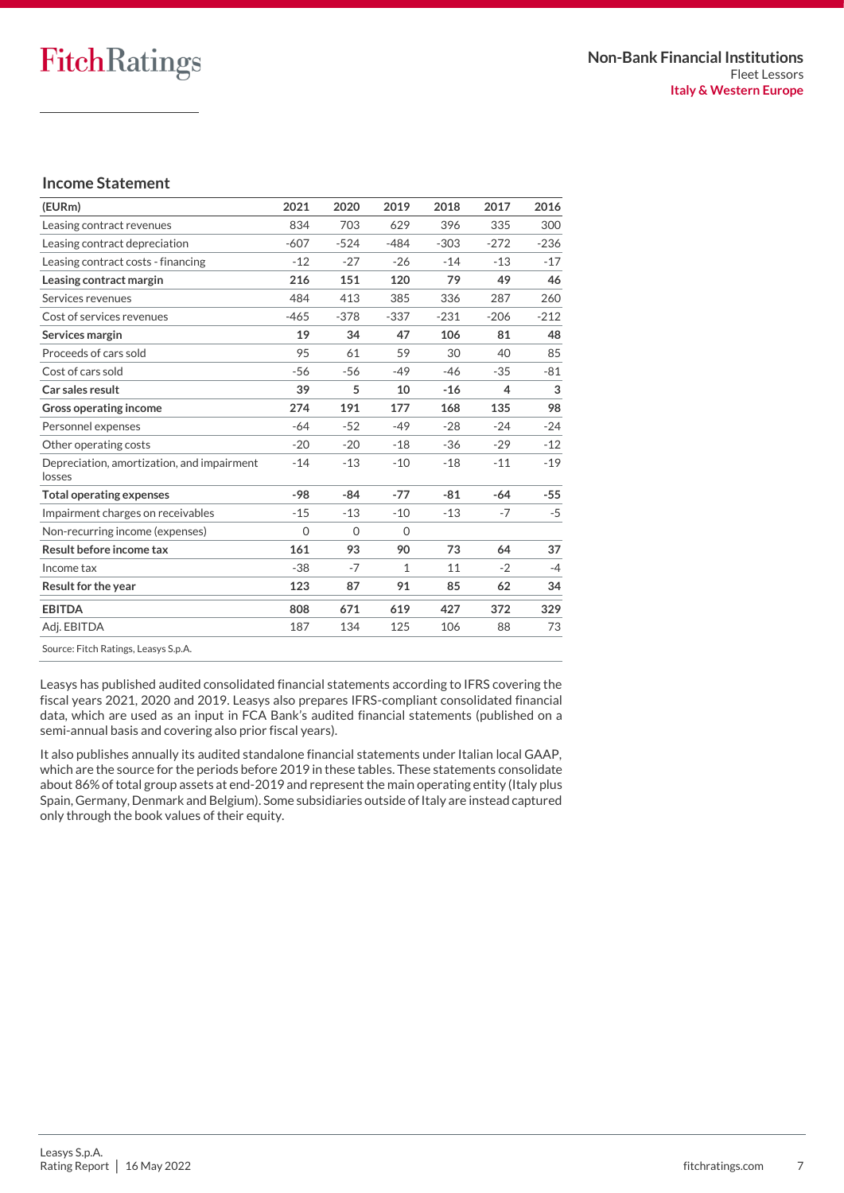### **Income Statement**

| (EURm)                                               | 2021     | 2020     | 2019     | 2018   | 2017   | 2016   |
|------------------------------------------------------|----------|----------|----------|--------|--------|--------|
| Leasing contract revenues                            | 834      | 703      | 629      | 396    | 335    | 300    |
| Leasing contract depreciation                        | $-607$   | $-524$   | $-484$   | $-303$ | $-272$ | $-236$ |
| Leasing contract costs - financing                   | $-12$    | $-27$    | $-26$    | $-14$  | $-13$  | $-17$  |
| Leasing contract margin                              | 216      | 151      | 120      | 79     | 49     | 46     |
| Services revenues                                    | 484      | 413      | 385      | 336    | 287    | 260    |
| Cost of services revenues                            | $-465$   | $-378$   | $-337$   | $-231$ | $-206$ | $-212$ |
| Services margin                                      | 19       | 34       | 47       | 106    | 81     | 48     |
| Proceeds of cars sold                                | 95       | 61       | 59       | 30     | 40     | 85     |
| Cost of cars sold                                    | $-56$    | $-56$    | $-49$    | $-46$  | $-35$  | $-81$  |
| Car sales result                                     | 39       | 5        | 10       | $-16$  | 4      | 3      |
| Gross operating income                               | 274      | 191      | 177      | 168    | 135    | 98     |
| Personnel expenses                                   | $-64$    | $-52$    | $-49$    | $-28$  | $-24$  | $-24$  |
| Other operating costs                                | $-20$    | $-20$    | $-18$    | -36    | $-29$  | $-12$  |
| Depreciation, amortization, and impairment<br>losses | $-14$    | $-13$    | $-10$    | $-18$  | $-11$  | $-19$  |
| <b>Total operating expenses</b>                      | $-98$    | $-84$    | $-77$    | $-81$  | $-64$  | $-55$  |
| Impairment charges on receivables                    | $-15$    | $-13$    | $-10$    | $-13$  | $-7$   | $-5$   |
| Non-recurring income (expenses)                      | $\Omega$ | $\Omega$ | $\Omega$ |        |        |        |
| Result before income tax                             | 161      | 93       | 90       | 73     | 64     | 37     |
| Income tax                                           | $-38$    | $-7$     | 1        | 11     | $-2$   | $-4$   |
| Result for the year                                  | 123      | 87       | 91       | 85     | 62     | 34     |
| <b>EBITDA</b>                                        | 808      | 671      | 619      | 427    | 372    | 329    |
| Adj. EBITDA                                          | 187      | 134      | 125      | 106    | 88     | 73     |
|                                                      |          |          |          |        |        |        |

Source: Fitch Ratings, Leasys S.p.A.

Leasys has published audited consolidated financial statements according to IFRS covering the fiscal years 2021, 2020 and 2019. Leasys also prepares IFRS-compliant consolidated financial data, which are used as an input in FCA Bank's audited financial statements (published on a semi-annual basis and covering also prior fiscal years).

It also publishes annually its audited standalone financial statements under Italian local GAAP, which are the source for the periods before 2019 in these tables. These statements consolidate about 86% of total group assets at end-2019 and represent the main operating entity (Italy plus Spain, Germany, Denmark and Belgium). Some subsidiaries outside of Italy are instead captured only through the book values of their equity.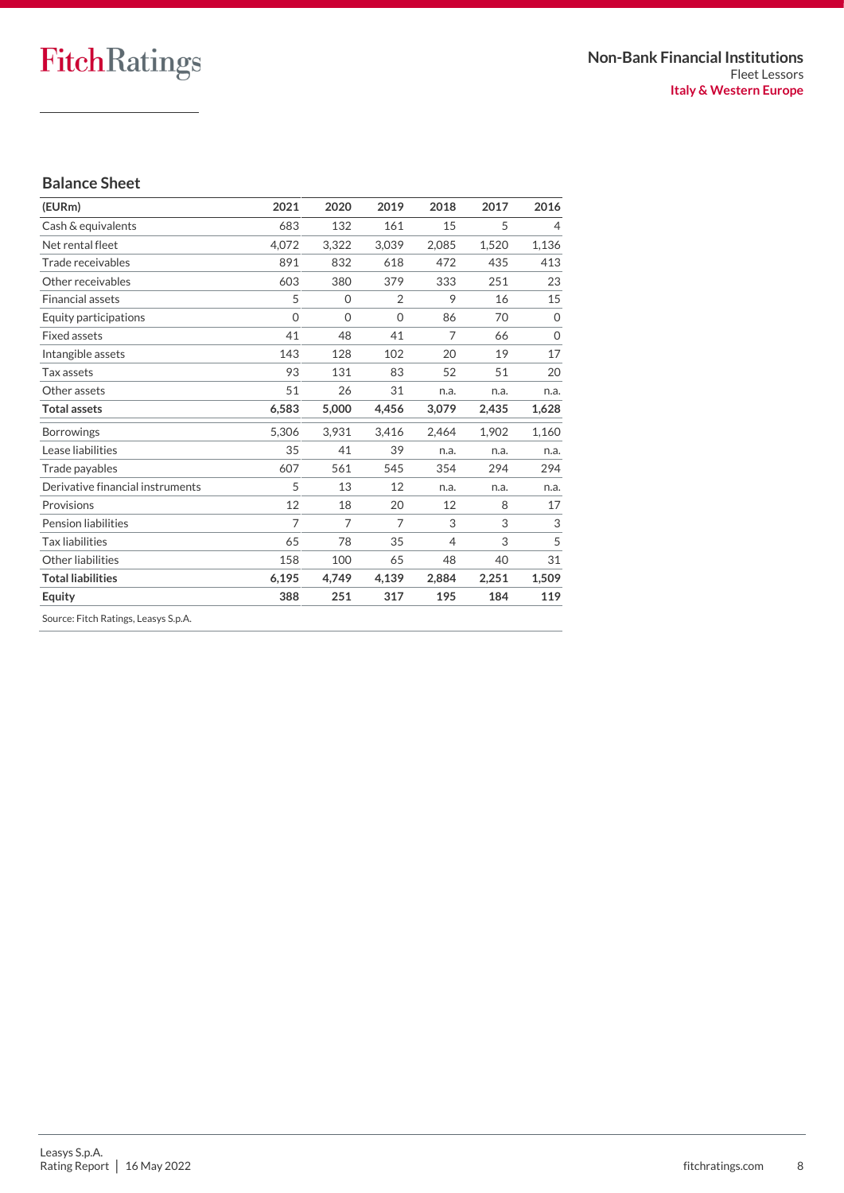### **Balance Sheet**

| (EURm)                               | 2021           | 2020     | 2019           | 2018  | 2017  | 2016           |
|--------------------------------------|----------------|----------|----------------|-------|-------|----------------|
| Cash & equivalents                   | 683            | 132      | 161            | 15    | 5     | $\overline{4}$ |
| Net rental fleet                     | 4.072          | 3,322    | 3,039          | 2,085 | 1,520 | 1,136          |
| Trade receivables                    | 891            | 832      | 618            | 472   | 435   | 413            |
| Other receivables                    | 603            | 380      | 379            | 333   | 251   | 23             |
| <b>Financial assets</b>              | 5              | 0        | $\overline{2}$ | 9     | 16    | 15             |
| Equity participations                | $\Omega$       | $\Omega$ | $\overline{0}$ | 86    | 70    | $\Omega$       |
| <b>Fixed assets</b>                  | 41             | 48       | 41             | 7     | 66    | $\Omega$       |
| Intangible assets                    | 143            | 128      | 102            | 20    | 19    | 17             |
| Tax assets                           | 93             | 131      | 83             | 52    | 51    | 20             |
| Other assets                         | 51             | 26       | 31             | n.a.  | n.a.  | n.a.           |
| <b>Total assets</b>                  | 6,583          | 5,000    | 4,456          | 3,079 | 2,435 | 1,628          |
| <b>Borrowings</b>                    | 5,306          | 3,931    | 3,416          | 2,464 | 1.902 | 1.160          |
| Lease liabilities                    | 35             | 41       | 39             | n.a.  | n.a.  | n.a.           |
| Trade payables                       | 607            | 561      | 545            | 354   | 294   | 294            |
| Derivative financial instruments     | 5              | 13       | 12             | n.a.  | n.a.  | n.a.           |
| Provisions                           | 12             | 18       | 20             | 12    | 8     | 17             |
| <b>Pension liabilities</b>           | $\overline{7}$ | 7        | 7              | 3     | 3     | 3              |
| <b>Tax liabilities</b>               | 65             | 78       | 35             | 4     | 3     | 5              |
| Other liabilities                    | 158            | 100      | 65             | 48    | 40    | 31             |
| <b>Total liabilities</b>             | 6,195          | 4,749    | 4,139          | 2,884 | 2,251 | 1,509          |
| Equity                               | 388            | 251      | 317            | 195   | 184   | 119            |
| Source: Fitch Ratings, Leasys S.p.A. |                |          |                |       |       |                |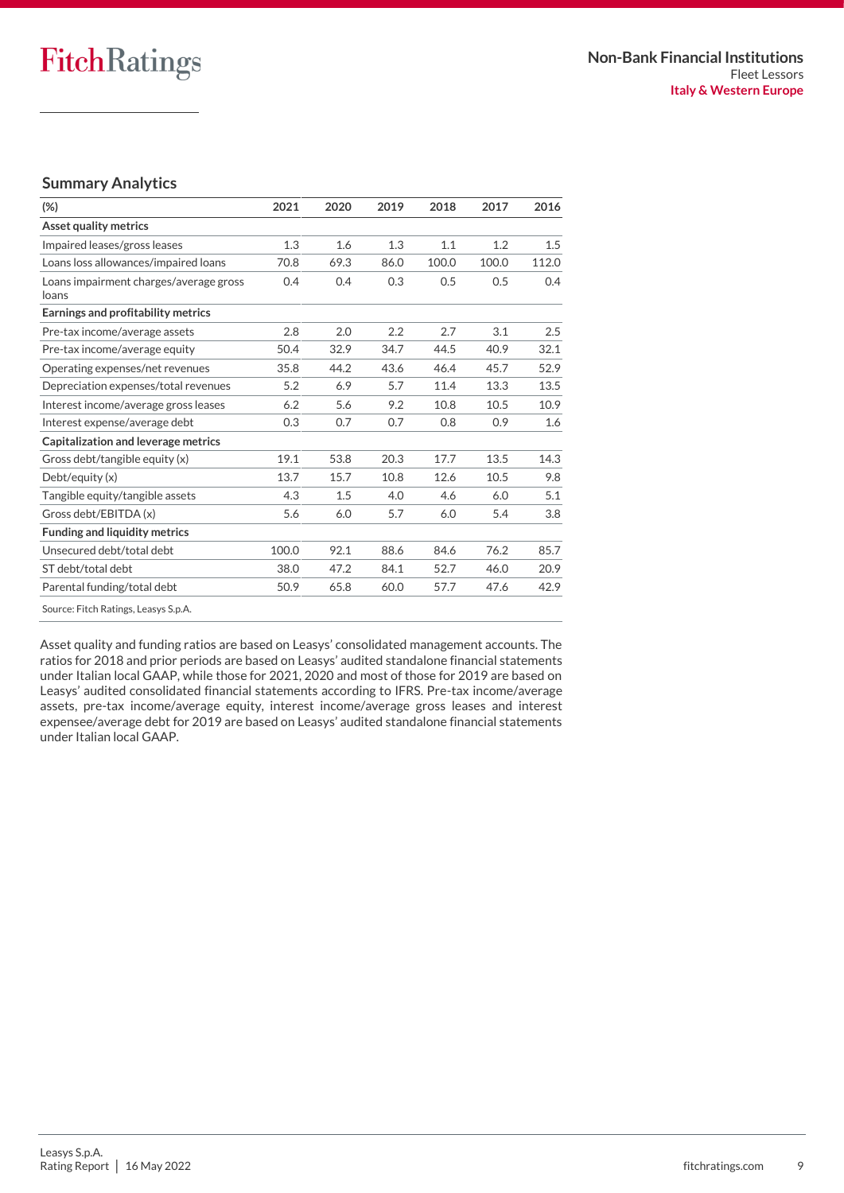### **Summary Analytics**

| $(\%)$                                          | 2021  | 2020 | 2019 | 2018  | 2017  | 2016  |
|-------------------------------------------------|-------|------|------|-------|-------|-------|
| <b>Asset quality metrics</b>                    |       |      |      |       |       |       |
| Impaired leases/gross leases                    | 1.3   | 1.6  | 1.3  | 1.1   | 1.2   | 1.5   |
| Loans loss allowances/impaired loans            | 70.8  | 69.3 | 86.0 | 100.0 | 100.0 | 112.0 |
| Loans impairment charges/average gross<br>loans | 0.4   | 0.4  | 0.3  | 0.5   | 0.5   | 0.4   |
| Earnings and profitability metrics              |       |      |      |       |       |       |
| Pre-tax income/average assets                   | 2.8   | 2.0  | 2.2  | 2.7   | 3.1   | 2.5   |
| Pre-tax income/average equity                   | 50.4  | 32.9 | 34.7 | 44.5  | 40.9  | 32.1  |
| Operating expenses/net revenues                 | 35.8  | 44.2 | 43.6 | 46.4  | 45.7  | 52.9  |
| Depreciation expenses/total revenues            | 5.2   | 6.9  | 5.7  | 11.4  | 13.3  | 13.5  |
| Interest income/average gross leases            | 6.2   | 5.6  | 9.2  | 10.8  | 10.5  | 10.9  |
| Interest expense/average debt                   | 0.3   | 0.7  | 0.7  | 0.8   | 0.9   | 1.6   |
| Capitalization and leverage metrics             |       |      |      |       |       |       |
| Gross debt/tangible equity (x)                  | 19.1  | 53.8 | 20.3 | 17.7  | 13.5  | 14.3  |
| Debt/equity(x)                                  | 13.7  | 15.7 | 10.8 | 12.6  | 10.5  | 9.8   |
| Tangible equity/tangible assets                 | 4.3   | 1.5  | 4.0  | 4.6   | 6.0   | 5.1   |
| Gross debt/EBITDA (x)                           | 5.6   | 6.0  | 5.7  | 6.0   | 5.4   | 3.8   |
| <b>Funding and liquidity metrics</b>            |       |      |      |       |       |       |
| Unsecured debt/total debt                       | 100.0 | 92.1 | 88.6 | 84.6  | 76.2  | 85.7  |
| ST debt/total debt                              | 38.0  | 47.2 | 84.1 | 52.7  | 46.0  | 20.9  |
| Parental funding/total debt                     | 50.9  | 65.8 | 60.0 | 57.7  | 47.6  | 42.9  |
| Source: Fitch Ratings, Leasys S.p.A.            |       |      |      |       |       |       |

Asset quality and funding ratios are based on Leasys' consolidated management accounts. The ratios for 2018 and prior periods are based on Leasys' audited standalone financial statements under Italian local GAAP, while those for 2021, 2020 and most of those for 2019 are based on Leasys' audited consolidated financial statements according to IFRS. Pre-tax income/average assets, pre-tax income/average equity, interest income/average gross leases and interest expensee/average debt for 2019 are based on Leasys' audited standalone financial statements under Italian local GAAP.